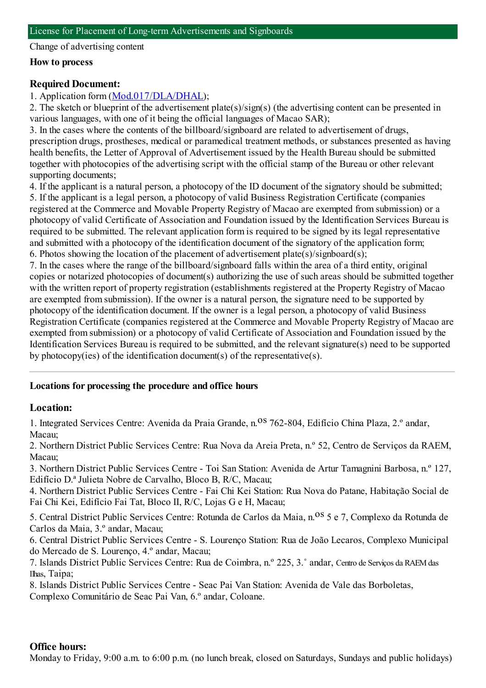Change of advertising content

#### **How to process**

## **Required Document:**

# 1. Application form([Mod.017/DLA/DHAL](https://www.iam.gov.mo/c/pdf/eformDetail/PDF365));

2. The sketch or blueprint of the advertisement plate(s)/sign(s) (the advertising content can be presented in various languages, with one of it being the official languages of Macao SAR);

3. In the cases where the contents of the billboard/signboard are related to advertisement of drugs, prescription drugs, prostheses, medical or paramedical treatment methods, or substances presented as having health benefits, the Letter of Approval of Advertisement issued by the Health Bureau should be submitted together with photocopies of the advertising script with the official stamp of the Bureau or other relevant supporting documents;

4. If the applicant is a natural person, a photocopy of the ID document of the signatory should be submitted; 5. If the applicant is a legal person, a photocopy of valid Business Registration Certificate (companies registered at the Commerce and Movable Property Registry of Macao are exempted fromsubmission) or a photocopy of valid Certificate of Association and Foundation issued by the Identification Services Bureau is required to be submitted. The relevant application formis required to be signed by its legal representative and submitted with a photocopy of the identification document of the signatory of the application form; 6. Photos showing the location of the placement of advertisement plate(s)/signboard(s);

7. In the cases where the range of the billboard/signboard falls within the area of a third entity, original copies or notarized photocopies of document(s) authorizing the use of such areas should be submitted together with the written report of property registration (establishments registered at the Property Registry of Macao are exempted fromsubmission). If the owner is a natural person, the signature need to be supported by photocopy of the identification document. If the owner is a legal person, a photocopy of valid Business Registration Certificate (companies registered at the Commerce and Movable Property Registry of Macao are exempted fromsubmission) or a photocopy of valid Certificate of Association and Foundation issued by the Identification Services Bureau is required to be submitted, and the relevant signature(s) need to be supported by photocopy(ies) of the identification document(s) of the representative(s).

## **Locations for processing the procedure and office hours**

## **Location:**

1. Integrated Services Centre: Avenida da Praia Grande, n. <sup>08</sup> 762-804, Edifício China Plaza, 2.º andar, Macau;

2. Northern District Public Services Centre: Rua Nova da Areia Preta, n.º 52, Centro de Serviços da RAEM, Macau;

3. Northern District Public Services Centre - Toi San Station: Avenida de Artur Tamagnini Barbosa, n.º 127, Edifício D.ª Julieta Nobre de Carvalho, Bloco B, R/C, Macau;

4. Northern District Public Services Centre - Fai Chi Kei Station: Rua Nova do Patane, Habitação Social de Fai Chi Kei, Edifício Fai Tat, Bloco II, R/C, Lojas G e H, Macau;

5. Central District Public Services Centre: Rotunda de Carlos da Maia, n.<sup>08</sup> 5 e 7, Complexo da Rotunda de Carlos da Maia, 3.º andar, Macau;

6. Central District Public Services Centre - S. Lourenço Station: Rua de João Lecaros, Complexo Municipal do Mercado de S. Lourenço, 4.º andar, Macau;

7. Islands District Public Services Centre: Rua de Coimbra, n.º 225, 3.˚ andar, Centro de Serviços da RAEMdas Ilhas, Taipa;

8. Islands District Public Services Centre - Seac Pai Van Station: Avenida de Vale das Borboletas, Complexo Comunitário de Seac Pai Van, 6.º andar, Coloane.

## **Office hours:**

Monday to Friday, 9:00 a.m. to 6:00 p.m. (no lunch break, closed on Saturdays, Sundays and public holidays)